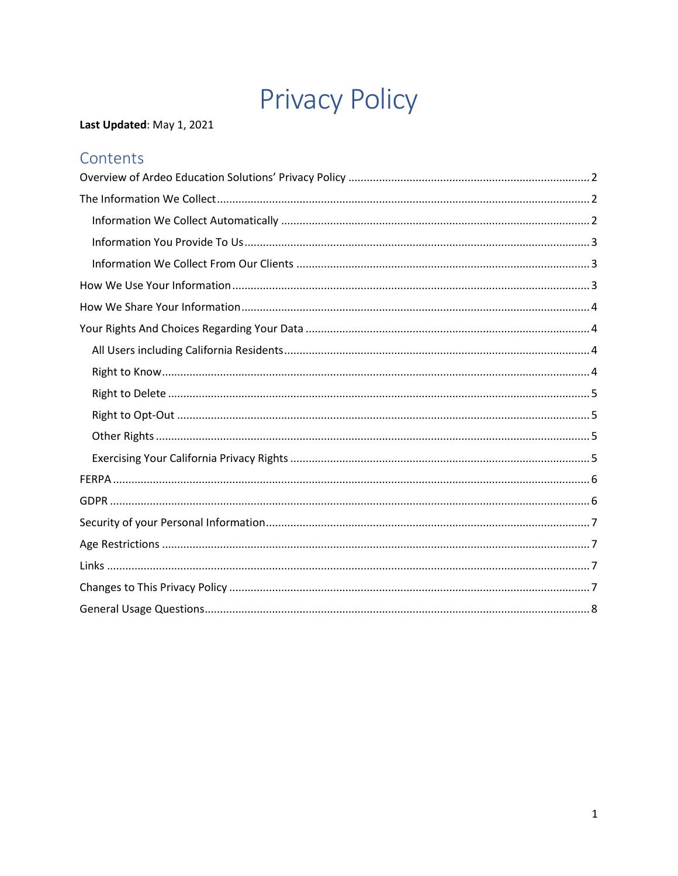# **Privacy Policy**

### Last Updated: May 1, 2021

## Contents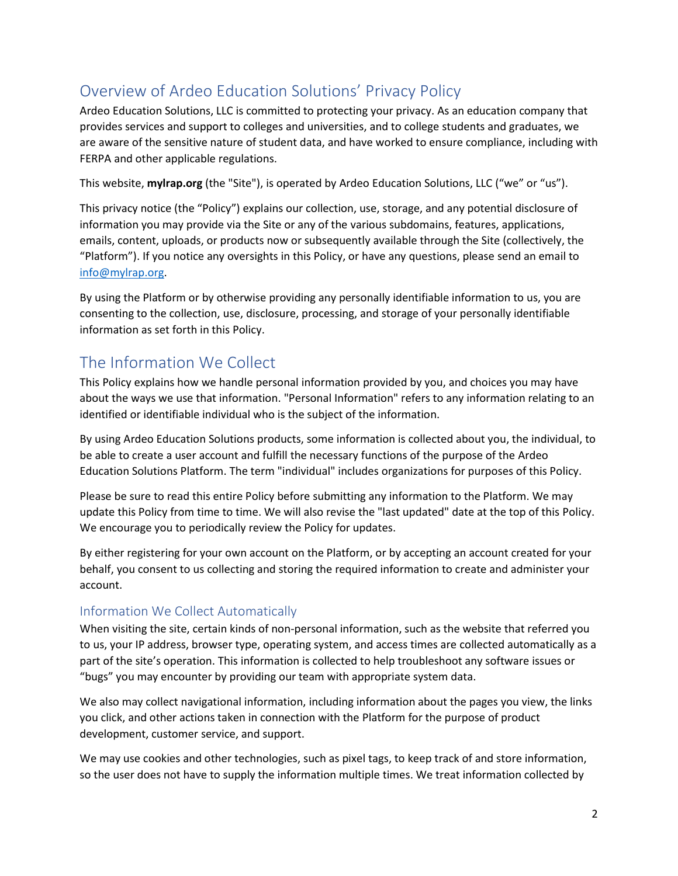# <span id="page-1-0"></span>Overview of Ardeo Education Solutions' Privacy Policy

Ardeo Education Solutions, LLC is committed to protecting your privacy. As an education company that provides services and support to colleges and universities, and to college students and graduates, we are aware of the sensitive nature of student data, and have worked to ensure compliance, including with FERPA and other applicable regulations.

This website, **mylrap.org** (the "Site"), is operated by Ardeo Education Solutions, LLC ("we" or "us").

This privacy notice (the "Policy") explains our collection, use, storage, and any potential disclosure of information you may provide via the Site or any of the various subdomains, features, applications, emails, content, uploads, or products now or subsequently available through the Site (collectively, the "Platform"). If you notice any oversights in this Policy, or have any questions, please send an email to [info@mylrap.org.](mailto:info@mylrap.org)

By using the Platform or by otherwise providing any personally identifiable information to us, you are consenting to the collection, use, disclosure, processing, and storage of your personally identifiable information as set forth in this Policy.

## <span id="page-1-1"></span>The Information We Collect

This Policy explains how we handle personal information provided by you, and choices you may have about the ways we use that information. "Personal Information" refers to any information relating to an identified or identifiable individual who is the subject of the information.

By using Ardeo Education Solutions products, some information is collected about you, the individual, to be able to create a user account and fulfill the necessary functions of the purpose of the Ardeo Education Solutions Platform. The term "individual" includes organizations for purposes of this Policy.

Please be sure to read this entire Policy before submitting any information to the Platform. We may update this Policy from time to time. We will also revise the "last updated" date at the top of this Policy. We encourage you to periodically review the Policy for updates.

By either registering for your own account on the Platform, or by accepting an account created for your behalf, you consent to us collecting and storing the required information to create and administer your account.

#### <span id="page-1-2"></span>Information We Collect Automatically

When visiting the site, certain kinds of non-personal information, such as the website that referred you to us, your IP address, browser type, operating system, and access times are collected automatically as a part of the site's operation. This information is collected to help troubleshoot any software issues or "bugs" you may encounter by providing our team with appropriate system data.

We also may collect navigational information, including information about the pages you view, the links you click, and other actions taken in connection with the Platform for the purpose of product development, customer service, and support.

We may use cookies and other technologies, such as pixel tags, to keep track of and store information, so the user does not have to supply the information multiple times. We treat information collected by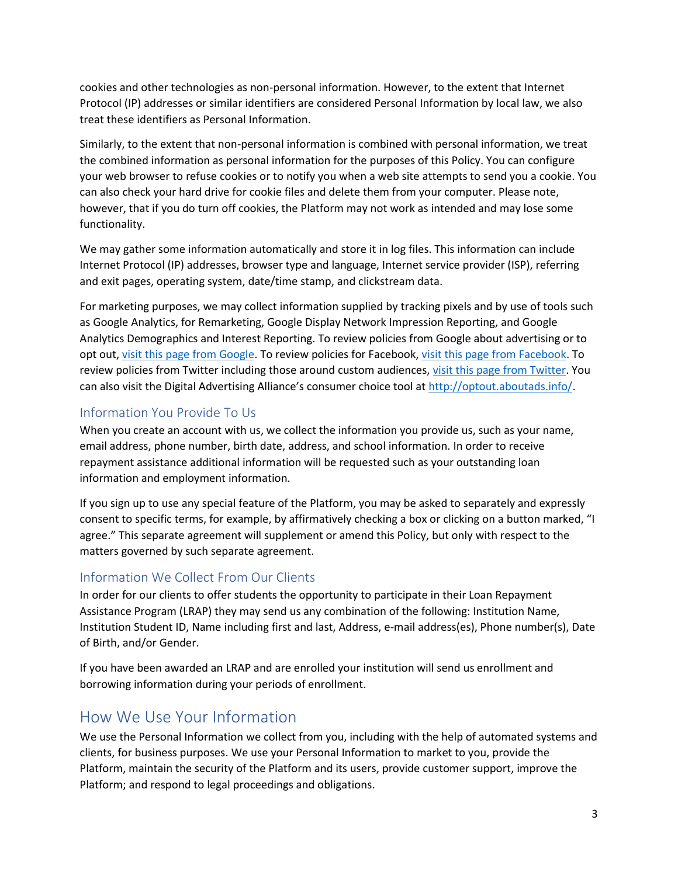cookies and other technologies as non-personal information. However, to the extent that Internet Protocol (IP) addresses or similar identifiers are considered Personal Information by local law, we also treat these identifiers as Personal Information.

Similarly, to the extent that non-personal information is combined with personal information, we treat the combined information as personal information for the purposes of this Policy. You can configure your web browser to refuse cookies or to notify you when a web site attempts to send you a cookie. You can also check your hard drive for cookie files and delete them from your computer. Please note, however, that if you do turn off cookies, the Platform may not work as intended and may lose some functionality.

We may gather some information automatically and store it in log files. This information can include Internet Protocol (IP) addresses, browser type and language, Internet service provider (ISP), referring and exit pages, operating system, date/time stamp, and clickstream data.

For marketing purposes, we may collect information supplied by tracking pixels and by use of tools such as Google Analytics, for Remarketing, Google Display Network Impression Reporting, and Google Analytics Demographics and Interest Reporting. To review policies from Google about advertising or to opt out, [visit this page from Google.](https://tools.google.com/dlpage/gaoptout/) To review policies for Facebook, [visit this page from Facebook.](https://www.facebook.com/about/privacy/update) To review policies from Twitter including those around custom audiences, [visit this page from Twitter.](https://help.twitter.com/en/safety-and-security/privacy-controls-for-tailored-ads) You can also visit the Digital Advertising Alliance's consumer choice tool at [http://optout.aboutads.info/.](http://optout.aboutads.info/)

### <span id="page-2-0"></span>Information You Provide To Us

When you create an account with us, we collect the information you provide us, such as your name, email address, phone number, birth date, address, and school information. In order to receive repayment assistance additional information will be requested such as your outstanding loan information and employment information.

If you sign up to use any special feature of the Platform, you may be asked to separately and expressly consent to specific terms, for example, by affirmatively checking a box or clicking on a button marked, "I agree." This separate agreement will supplement or amend this Policy, but only with respect to the matters governed by such separate agreement.

#### <span id="page-2-1"></span>Information We Collect From Our Clients

In order for our clients to offer students the opportunity to participate in their Loan Repayment Assistance Program (LRAP) they may send us any combination of the following: Institution Name, Institution Student ID, Name including first and last, Address, e-mail address(es), Phone number(s), Date of Birth, and/or Gender.

If you have been awarded an LRAP and are enrolled your institution will send us enrollment and borrowing information during your periods of enrollment.

## <span id="page-2-2"></span>How We Use Your Information

We use the Personal Information we collect from you, including with the help of automated systems and clients, for business purposes. We use your Personal Information to market to you, provide the Platform, maintain the security of the Platform and its users, provide customer support, improve the Platform; and respond to legal proceedings and obligations.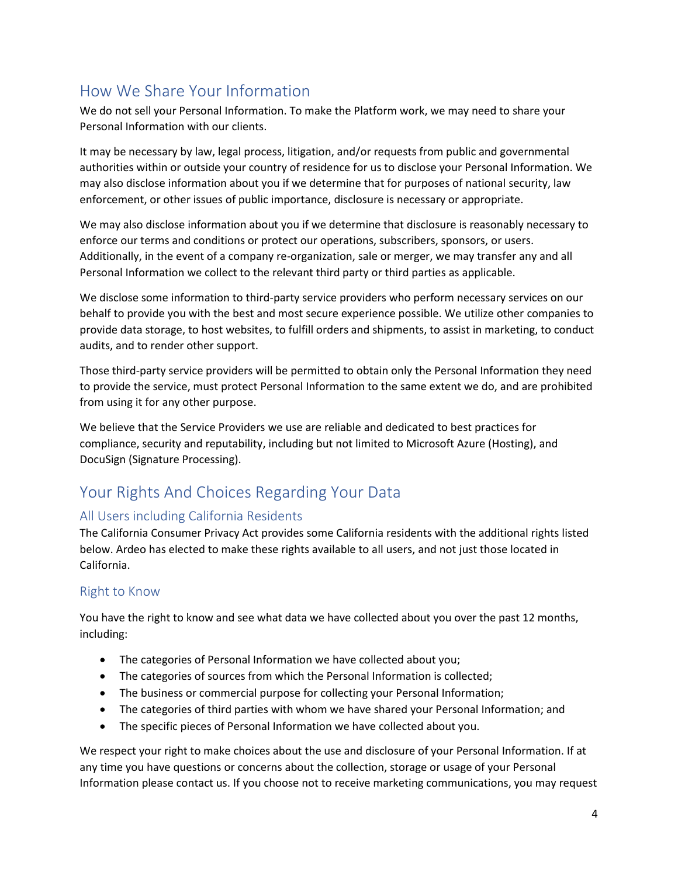# <span id="page-3-0"></span>How We Share Your Information

We do not sell your Personal Information. To make the Platform work, we may need to share your Personal Information with our clients.

It may be necessary by law, legal process, litigation, and/or requests from public and governmental authorities within or outside your country of residence for us to disclose your Personal Information. We may also disclose information about you if we determine that for purposes of national security, law enforcement, or other issues of public importance, disclosure is necessary or appropriate.

We may also disclose information about you if we determine that disclosure is reasonably necessary to enforce our terms and conditions or protect our operations, subscribers, sponsors, or users. Additionally, in the event of a company re-organization, sale or merger, we may transfer any and all Personal Information we collect to the relevant third party or third parties as applicable.

We disclose some information to third-party service providers who perform necessary services on our behalf to provide you with the best and most secure experience possible. We utilize other companies to provide data storage, to host websites, to fulfill orders and shipments, to assist in marketing, to conduct audits, and to render other support.

Those third-party service providers will be permitted to obtain only the Personal Information they need to provide the service, must protect Personal Information to the same extent we do, and are prohibited from using it for any other purpose.

We believe that the Service Providers we use are reliable and dedicated to best practices for compliance, security and reputability, including but not limited to Microsoft Azure (Hosting), and DocuSign (Signature Processing).

# <span id="page-3-1"></span>Your Rights And Choices Regarding Your Data

#### <span id="page-3-2"></span>All Users including California Residents

The California Consumer Privacy Act provides some California residents with the additional rights listed below. Ardeo has elected to make these rights available to all users, and not just those located in California.

#### <span id="page-3-3"></span>Right to Know

You have the right to know and see what data we have collected about you over the past 12 months, including:

- The categories of Personal Information we have collected about you;
- The categories of sources from which the Personal Information is collected;
- The business or commercial purpose for collecting your Personal Information;
- The categories of third parties with whom we have shared your Personal Information; and
- The specific pieces of Personal Information we have collected about you.

We respect your right to make choices about the use and disclosure of your Personal Information. If at any time you have questions or concerns about the collection, storage or usage of your Personal Information please contact us. If you choose not to receive marketing communications, you may request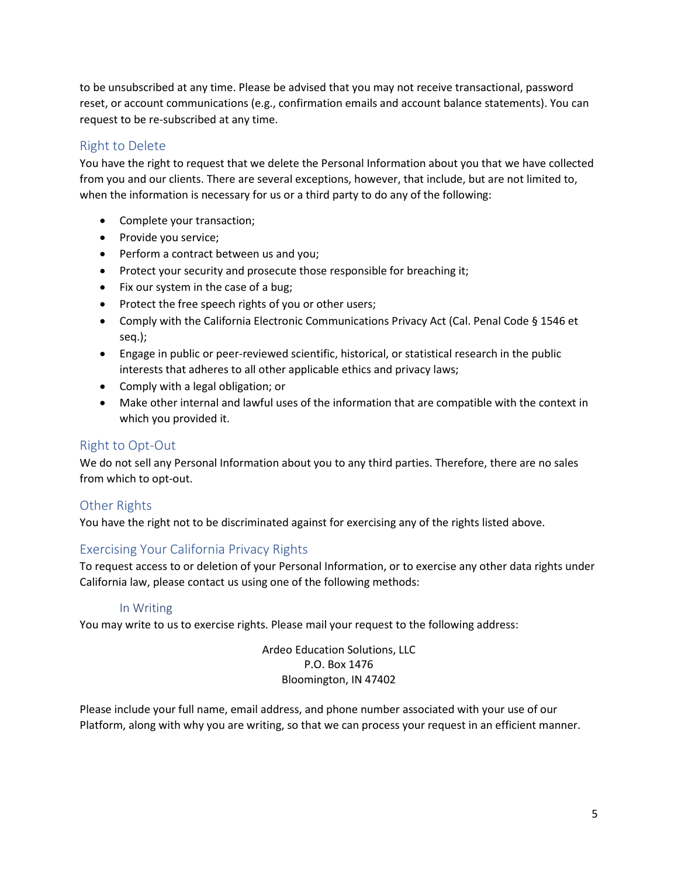to be unsubscribed at any time. Please be advised that you may not receive transactional, password reset, or account communications (e.g., confirmation emails and account balance statements). You can request to be re-subscribed at any time.

#### <span id="page-4-0"></span>Right to Delete

You have the right to request that we delete the Personal Information about you that we have collected from you and our clients. There are several exceptions, however, that include, but are not limited to, when the information is necessary for us or a third party to do any of the following:

- Complete your transaction;
- Provide you service;
- Perform a contract between us and you;
- Protect your security and prosecute those responsible for breaching it;
- Fix our system in the case of a bug;
- Protect the free speech rights of you or other users;
- Comply with the California Electronic Communications Privacy Act (Cal. Penal Code § 1546 et seq.);
- Engage in public or peer-reviewed scientific, historical, or statistical research in the public interests that adheres to all other applicable ethics and privacy laws;
- Comply with a legal obligation; or
- Make other internal and lawful uses of the information that are compatible with the context in which you provided it.

#### <span id="page-4-1"></span>Right to Opt-Out

We do not sell any Personal Information about you to any third parties. Therefore, there are no sales from which to opt-out.

#### <span id="page-4-2"></span>Other Rights

You have the right not to be discriminated against for exercising any of the rights listed above.

#### <span id="page-4-3"></span>Exercising Your California Privacy Rights

To request access to or deletion of your Personal Information, or to exercise any other data rights under California law, please contact us using one of the following methods:

#### In Writing

You may write to us to exercise rights. Please mail your request to the following address:

Ardeo Education Solutions, LLC P.O. Box 1476 Bloomington, IN 47402

Please include your full name, email address, and phone number associated with your use of our Platform, along with why you are writing, so that we can process your request in an efficient manner.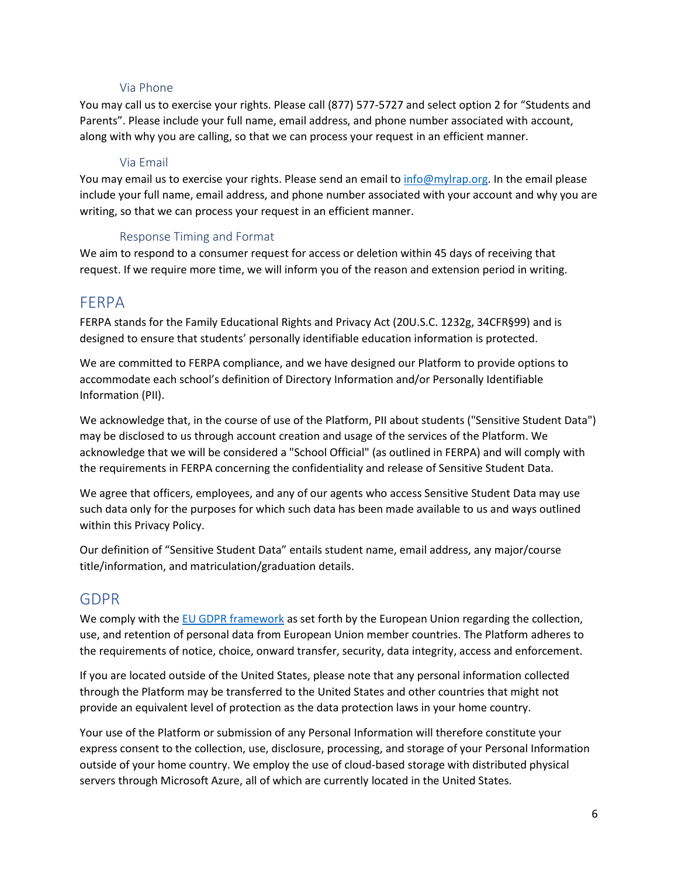#### Via Phone

You may call us to exercise your rights. Please call (877) 577-5727 and select option 2 for "Students and Parents". Please include your full name, email address, and phone number associated with account, along with why you are calling, so that we can process your request in an efficient manner.

#### Via Email

You may email us to exercise your rights. Please send an email t[o info@mylrap.org.](mailto:info@ardeoeducation.org) In the email please include your full name, email address, and phone number associated with your account and why you are writing, so that we can process your request in an efficient manner.

#### Response Timing and Format

We aim to respond to a consumer request for access or deletion within 45 days of receiving that request. If we require more time, we will inform you of the reason and extension period in writing.

## <span id="page-5-0"></span>FERPA

FERPA stands for the Family Educational Rights and Privacy Act (20U.S.C. 1232g, 34CFR§99) and is designed to ensure that students' personally identifiable education information is protected.

We are committed to FERPA compliance, and we have designed our Platform to provide options to accommodate each school's definition of Directory Information and/or Personally Identifiable Information (PII).

We acknowledge that, in the course of use of the Platform, PII about students ("Sensitive Student Data") may be disclosed to us through account creation and usage of the services of the Platform. We acknowledge that we will be considered a "School Official" (as outlined in FERPA) and will comply with the requirements in FERPA concerning the confidentiality and release of Sensitive Student Data.

We agree that officers, employees, and any of our agents who access Sensitive Student Data may use such data only for the purposes for which such data has been made available to us and ways outlined within this Privacy Policy.

Our definition of "Sensitive Student Data" entails student name, email address, any major/course title/information, and matriculation/graduation details.

#### <span id="page-5-1"></span>GDPR

We comply with th[e EU GDPR framework](https://www.itgovernance.co.uk/gdpr-compliance-checklist) as set forth by the European Union regarding the collection, use, and retention of personal data from European Union member countries. The Platform adheres to the requirements of notice, choice, onward transfer, security, data integrity, access and enforcement.

If you are located outside of the United States, please note that any personal information collected through the Platform may be transferred to the United States and other countries that might not provide an equivalent level of protection as the data protection laws in your home country.

Your use of the Platform or submission of any Personal Information will therefore constitute your express consent to the collection, use, disclosure, processing, and storage of your Personal Information outside of your home country. We employ the use of cloud-based storage with distributed physical servers through Microsoft Azure, all of which are currently located in the United States.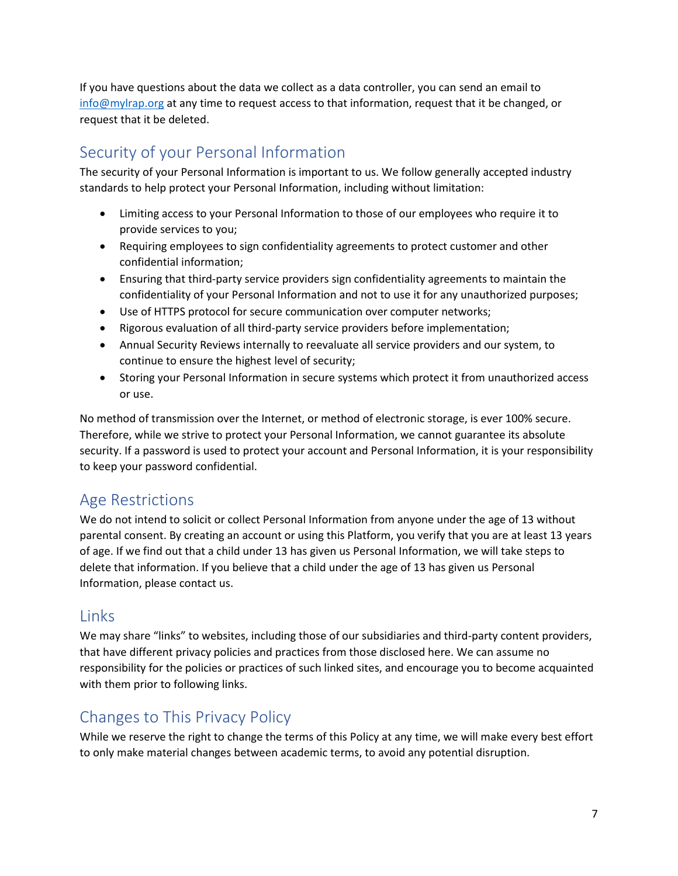If you have questions about the data we collect as a data controller, you can send an email to [info@mylrap.org](mailto:info@mylrap.org) at any time to request access to that information, request that it be changed, or request that it be deleted.

# <span id="page-6-0"></span>Security of your Personal Information

The security of your Personal Information is important to us. We follow generally accepted industry standards to help protect your Personal Information, including without limitation:

- Limiting access to your Personal Information to those of our employees who require it to provide services to you;
- Requiring employees to sign confidentiality agreements to protect customer and other confidential information;
- Ensuring that third-party service providers sign confidentiality agreements to maintain the confidentiality of your Personal Information and not to use it for any unauthorized purposes;
- Use of HTTPS protocol for secure communication over computer networks;
- Rigorous evaluation of all third-party service providers before implementation;
- Annual Security Reviews internally to reevaluate all service providers and our system, to continue to ensure the highest level of security;
- Storing your Personal Information in secure systems which protect it from unauthorized access or use.

No method of transmission over the Internet, or method of electronic storage, is ever 100% secure. Therefore, while we strive to protect your Personal Information, we cannot guarantee its absolute security. If a password is used to protect your account and Personal Information, it is your responsibility to keep your password confidential.

## <span id="page-6-1"></span>Age Restrictions

We do not intend to solicit or collect Personal Information from anyone under the age of 13 without parental consent. By creating an account or using this Platform, you verify that you are at least 13 years of age. If we find out that a child under 13 has given us Personal Information, we will take steps to delete that information. If you believe that a child under the age of 13 has given us Personal Information, please contact us.

## <span id="page-6-2"></span>Links

We may share "links" to websites, including those of our subsidiaries and third-party content providers, that have different privacy policies and practices from those disclosed here. We can assume no responsibility for the policies or practices of such linked sites, and encourage you to become acquainted with them prior to following links.

## <span id="page-6-3"></span>Changes to This Privacy Policy

While we reserve the right to change the terms of this Policy at any time, we will make every best effort to only make material changes between academic terms, to avoid any potential disruption.